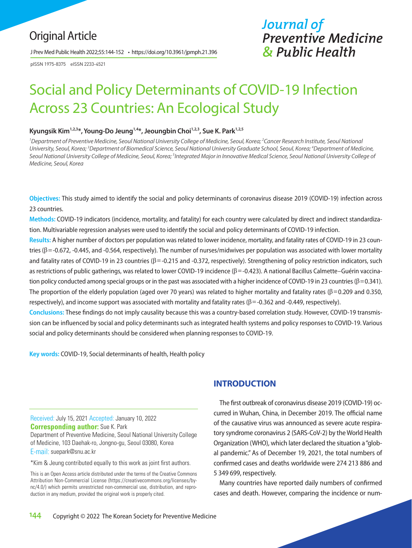## Original Article

J Prev Med Public Health 2022;55:144-152 • https://doi.org/10.3961/jpmph.21.396

pISSN 1975-8375 eISSN 2233-4521

# *Journal of Preventive Medicine & Public Health*

# Social and Policy Determinants of COVID-19 Infection Across 23 Countries: An Ecological Study

#### Kyungsik Kim<sup>1,2,3\*</sup>, Young-Do Jeung<sup>1,4\*</sup>, Jeoungbin Choi<sup>1,2,3</sup>, Sue K. Park<sup>1,2,5</sup>

<sup>1</sup> Department of Preventive Medicine, Seoul National University College of Medicine, Seoul, Korea; <sup>2</sup> Cancer Research Institute, Seoul National *University, Seoul, Korea; 3 Department of Biomedical Science, Seoul National University Graduate School, Seoul, Korea; 4 Department of Medicine,*  Seoul National University College of Medicine, Seoul, Korea; <sup>s</sup>Integrated Major in Innovative Medical Science, Seoul National University College of *Medicine, Seoul, Korea*

**Objectives:** This study aimed to identify the social and policy determinants of coronavirus disease 2019 (COVID-19) infection across 23 countries.

**Methods:** COVID-19 indicators (incidence, mortality, and fatality) for each country were calculated by direct and indirect standardization. Multivariable regression analyses were used to identify the social and policy determinants of COVID-19 infection.

**Results:** A higher number of doctors per population was related to lower incidence, mortality, and fatality rates of COVID-19 in 23 countries ( $\beta$  = -0.672, -0.445, and -0.564, respectively). The number of nurses/midwives per population was associated with lower mortality and fatality rates of COVID-19 in 23 countries ( $\beta$ =-0.215 and -0.372, respectively). Strengthening of policy restriction indicators, such as restrictions of public gatherings, was related to lower COVID-19 incidence (β = -0.423). A national Bacillus Calmette–Guérin vaccination policy conducted among special groups or in the past was associated with a higher incidence of COVID-19 in 23 countries ( $\beta$ =0.341). The proportion of the elderly population (aged over 70 years) was related to higher mortality and fatality rates ( $\beta$ =0.209 and 0.350, respectively), and income support was associated with mortality and fatality rates (β = -0.362 and -0.449, respectively).

**Conclusions:** These findings do not imply causality because this was a country-based correlation study. However, COVID-19 transmission can be influenced by social and policy determinants such as integrated health systems and policy responses to COVID-19. Various social and policy determinants should be considered when planning responses to COVID-19.

**Key words:** COVID-19, Social determinants of health, Health policy

Received: July 15, 2021 Accepted: January 10, 2022 **Corresponding author:** Sue K. Park Department of Preventive Medicine, Seoul National University College of Medicine, 103 Daehak-ro, Jongno-gu, Seoul 03080, Korea

E-mail: suepark@snu.ac.kr

\*Kim & Jeung contributed equally to this work as joint first authors.

This is an Open Access article distributed under the terms of the Creative Commons Attribution Non-Commercial License (https://creativecommons.org/licenses/bync/4.0/) which permits unrestricted non-commercial use, distribution, and reproduction in any medium, provided the original work is properly cited.

## **INTRODUCTION**

The first outbreak of coronavirus disease 2019 (COVID-19) occurred in Wuhan, China, in December 2019. The official name of the causative virus was announced as severe acute respiratory syndrome coronavirus 2 (SARS-CoV-2) by the World Health Organization (WHO), which later declared the situation a "global pandemic." As of December 19, 2021, the total numbers of confirmed cases and deaths worldwide were 274 213 886 and 5 349 699, respectively.

Many countries have reported daily numbers of confirmed cases and death. However, comparing the incidence or num-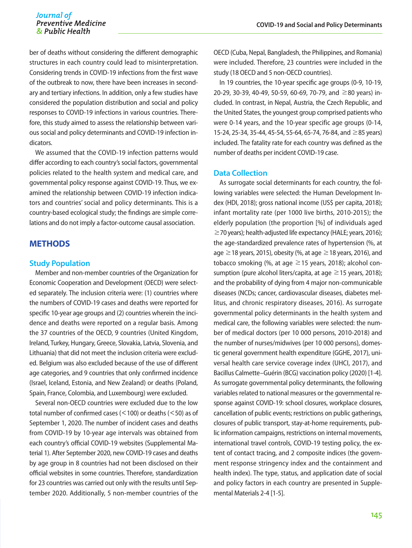ber of deaths without considering the different demographic structures in each country could lead to misinterpretation. Considering trends in COVID-19 infections from the first wave of the outbreak to now, there have been increases in secondary and tertiary infections. In addition, only a few studies have considered the population distribution and social and policy responses to COVID-19 infections in various countries. Therefore, this study aimed to assess the relationship between various social and policy determinants and COVID-19 infection indicators.

We assumed that the COVID-19 infection patterns would differ according to each country's social factors, governmental policies related to the health system and medical care, and governmental policy response against COVID-19. Thus, we examined the relationship between COVID-19 infection indicators and countries' social and policy determinants. This is a country-based ecological study; the findings are simple correlations and do not imply a factor-outcome causal association.

### **METHODS**

#### **Study Population**

Member and non-member countries of the Organization for Economic Cooperation and Development (OECD) were selected separately. The inclusion criteria were: (1) countries where the numbers of COVID-19 cases and deaths were reported for specific 10-year age groups and (2) countries wherein the incidence and deaths were reported on a regular basis. Among the 37 countries of the OECD, 9 countries (United Kingdom, Ireland, Turkey, Hungary, Greece, Slovakia, Latvia, Slovenia, and Lithuania) that did not meet the inclusion criteria were excluded. Belgium was also excluded because of the use of different age categories, and 9 countries that only confirmed incidence (Israel, Iceland, Estonia, and New Zealand) or deaths (Poland, Spain, France, Colombia, and Luxembourg) were excluded.

Several non-OECD countries were excluded due to the low total number of confirmed cases (<100) or deaths (<50) as of September 1, 2020. The number of incident cases and deaths from COVID-19 by 10-year age intervals was obtained from each country's official COVID-19 websites (Supplemental Material 1). After September 2020, new COVID-19 cases and deaths by age group in 8 countries had not been disclosed on their official websites in some countries. Therefore, standardization for 23 countries was carried out only with the results until September 2020. Additionally, 5 non-member countries of the OECD (Cuba, Nepal, Bangladesh, the Philippines, and Romania) were included. Therefore, 23 countries were included in the study (18 OECD and 5 non-OECD countries).

In 19 countries, the 10-year specific age groups (0-9, 10-19, 20-29, 30-39, 40-49, 50-59, 60-69, 70-79, and ≥80 years) included. In contrast, in Nepal, Austria, the Czech Republic, and the United States, the youngest group comprised patients who were 0-14 years, and the 10-year specific age groups (0-14, 15-24, 25-34, 35-44, 45-54, 55-64, 65-74, 76-84, and ≥85 years) included. The fatality rate for each country was defined as the number of deaths per incident COVID-19 case.

#### **Data Collection**

As surrogate social determinants for each country, the following variables were selected: the Human Development Index (HDI, 2018); gross national income (US\$ per capita, 2018); infant mortality rate (per 1000 live births, 2010-2015); the elderly population (the proportion [%] of individuals aged ≥70 years); health-adjusted life expectancy (HALE; years, 2016); the age-standardized prevalence rates of hypertension (%, at age  $\geq$  18 years, 2015), obesity (%, at age  $\geq$  18 years, 2016), and tobacco smoking (%, at age  $\geq$  15 years, 2018); alcohol consumption (pure alcohol liters/capita, at age  $\geq$  15 years, 2018); and the probability of dying from 4 major non-communicable diseases (NCDs; cancer, cardiovascular diseases, diabetes mellitus, and chronic respiratory diseases, 2016). As surrogate governmental policy determinants in the health system and medical care, the following variables were selected: the number of medical doctors (per 10 000 persons, 2010-2018) and the number of nurses/midwives (per 10 000 persons), domestic general government health expenditure (GGHE, 2017), universal health care service coverage index (UHCI, 2017), and Bacillus Calmette–Guérin (BCG) vaccination policy (2020) [1-4]. As surrogate governmental policy determinants, the following variables related to national measures or the governmental response against COVID-19: school closures, workplace closures, cancellation of public events; restrictions on public gatherings, closures of public transport, stay-at-home requirements, public information campaigns, restrictions on internal movements, international travel controls, COVID-19 testing policy, the extent of contact tracing, and 2 composite indices (the government response stringency index and the containment and health index). The type, status, and application date of social and policy factors in each country are presented in Supplemental Materials 2-4 [1-5].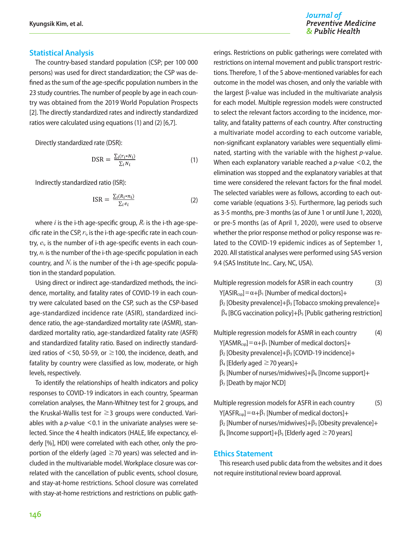#### **Statistical Analysis**

The country-based standard population (CSP; per 100 000 persons) was used for direct standardization; the CSP was defined as the sum of the age-specific population numbers in the 23 study countries. The number of people by age in each country was obtained from the 2019 World Population Prospects [2]. The directly standardized rates and indirectly standardized ratios were calculated using equations (1) and (2) [6,7].

Directly standardized rate (DSR):

$$
\text{DSR} = \frac{\sum_{i} (r_i * N_i)}{\sum_{i} N_i} \tag{1}
$$

Indirectly standardized ratio (ISR):

$$
ISR = \frac{\sum_{i} (R_i * n_i)}{\sum_{i} e_i} \tag{2}
$$

where  $i$  is the i-th age-specific group,  $R_i$  is the i-th age-specific rate in the CSP, *ri*, is the i-th age-specific rate in each country, *ei*, is the number of i-th age-specific events in each country, *ni* is the number of the i-th age-specific population in each country, and *Ni* is the number of the i-th age-specific population in the standard population.

Using direct or indirect age-standardized methods, the incidence, mortality, and fatality rates of COVID-19 in each country were calculated based on the CSP, such as the CSP-based age-standardized incidence rate (ASIR), standardized incidence ratio, the age-standardized mortality rate (ASMR), standardized mortality ratio, age-standardized fatality rate (ASFR) and standardized fatality ratio. Based on indirectly standardized ratios of <50, 50-59, or  $\geq$  100, the incidence, death, and fatality by country were classified as low, moderate, or high levels, respectively.

To identify the relationships of health indicators and policy responses to COVID-19 indicators in each country, Spearman correlation analyses, the Mann-Whitney test for 2 groups, and the Kruskal-Wallis test for  $\geq$  3 groups were conducted. Variables with a *p*-value <0.1 in the univariate analyses were selected. Since the 4 health indicators (HALE, life expectancy, elderly [%], HDI) were correlated with each other, only the proportion of the elderly (aged  $\geq$  70 years) was selected and included in the multivariable model. Workplace closure was correlated with the cancellation of public events, school closure, and stay-at-home restrictions. School closure was correlated with stay-at-home restrictions and restrictions on public gatherings. Restrictions on public gatherings were correlated with restrictions on internal movement and public transport restrictions. Therefore, 1 of the 5 above-mentioned variables for each outcome in the model was chosen, and only the variable with the largest β-value was included in the multivariate analysis for each model. Multiple regression models were constructed to select the relevant factors according to the incidence, mortality, and fatality patterns of each country. After constructing a multivariate model according to each outcome variable, non-significant explanatory variables were sequentially eliminated, starting with the variable with the highest *p*-value. When each explanatory variable reached a *p*-value <0.2, the elimination was stopped and the explanatory variables at that time were considered the relevant factors for the final model. The selected variables were as follows, according to each outcome variable (equations 3-5). Furthermore, lag periods such as 3-5 months, pre-3 months (as of June 1 or until June 1, 2020), or pre-5 months (as of April 1, 2020), were used to observe whether the prior response method or policy response was related to the COVID-19 epidemic indices as of September 1, 2020. All statistical analyses were performed using SAS version 9.4 (SAS Institute Inc.. Cary, NC, USA).

Multiple regression models for ASIR in each country (3)

 $Y[ASIR_{csp}]=\alpha+\beta_1$  [Number of medical doctors]+

- $\beta_2$  [Obesity prevalence]+ $\beta_3$  [Tobacco smoking prevalence]+
- $β$ <sub>4</sub> [BCG vaccination policy]+ $β$ <sub>5</sub> [Public gathering restriction]

Multiple regression models for ASMR in each country (4)

Y[ASMR<sub>csp</sub>]= $\alpha + \beta_1$  [Number of medical doctors]+

- $β_2$  [Obesity prevalence]+ $β_3$  [COVID-19 incidence]+
- $\beta_4$  [Elderly aged  $\geq$  70 years]+
- $β_5$  [Number of nurses/midwives]+ $β_6$  [Income support]+
- $\beta$ <sub>7</sub> [Death by major NCD]

Multiple regression models for ASFR in each country (5) Y[ASFR<sub>csp</sub>]=α+β<sub>1</sub> [Number of medical doctors]+

 $\beta_2$  [Number of nurses/midwives]+ $\beta_3$  [Obesity prevalence]+

 $\beta_4$  [Income support]+ $\beta_5$  [Elderly aged  $\geq$  70 years]

#### **Ethics Statement**

This research used public data from the websites and it does not require institutional review board approval.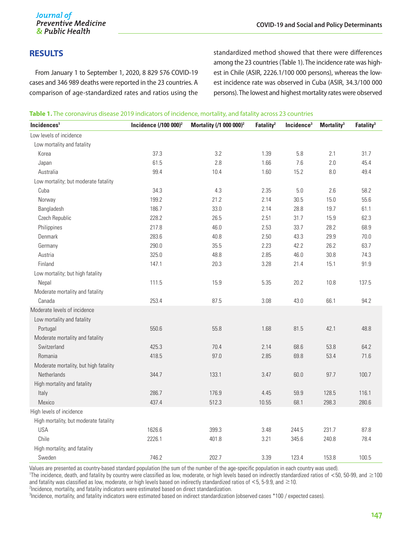## **RESULTS**

From January 1 to September 1, 2020, 8 829 576 COVID-19 cases and 346 989 deaths were reported in the 23 countries. A comparison of age-standardized rates and ratios using the standardized method showed that there were differences among the 23 countries (Table 1). The incidence rate was highest in Chile (ASIR, 2226.1/100 000 persons), whereas the lowest incidence rate was observed in Cuba (ASIR, 34.3/100 000 persons). The lowest and highest mortality rates were observed

|  |  |  | Table 1. The coronavirus disease 2019 indicators of incidence, mortality, and fatality across 23 countries |  |  |
|--|--|--|------------------------------------------------------------------------------------------------------------|--|--|
|  |  |  |                                                                                                            |  |  |

| Incidences <sup>1</sup>               | Incidence $(100 000)^2$ | Mortality (/1 000 000) <sup>2</sup> | Fatality <sup>2</sup> | Incidence <sup>3</sup> | Mortality <sup>3</sup> | Fatality <sup>3</sup> |
|---------------------------------------|-------------------------|-------------------------------------|-----------------------|------------------------|------------------------|-----------------------|
| Low levels of incidence               |                         |                                     |                       |                        |                        |                       |
| Low mortality and fatality            |                         |                                     |                       |                        |                        |                       |
| Korea                                 | 37.3                    | 3.2                                 | 1.39                  | 5.8                    | 2.1                    | 31.7                  |
| Japan                                 | 61.5                    | 2.8                                 | 1.66                  | $7.6\,$                | 2.0                    | 45.4                  |
| Australia                             | 99.4                    | 10.4                                | 1.60                  | 15.2                   | 8.0                    | 49.4                  |
| Low mortality; but moderate fatality  |                         |                                     |                       |                        |                        |                       |
| Cuba                                  | 34.3                    | 4.3                                 | 2.35                  | $5.0\,$                | 2.6                    | 58.2                  |
| Norway                                | 199.2                   | 21.2                                | 2.14                  | 30.5                   | 15.0                   | 55.6                  |
| Bangladesh                            | 186.7                   | 33.0                                | 2.14                  | 28.8                   | 19.7                   | 61.1                  |
| Czech Republic                        | 228.2                   | 26.5                                | 2.51                  | 31.7                   | 15.9                   | 62.3                  |
| Philippines                           | 217.8                   | 46.0                                | 2.53                  | 33.7                   | 28.2                   | 68.9                  |
| Denmark                               | 283.6                   | 40.8                                | 2.50                  | 43.3                   | 29.9                   | 70.0                  |
| Germany                               | 290.0                   | 35.5                                | 2.23                  | 42.2                   | 26.2                   | 63.7                  |
| Austria                               | 325.0                   | 48.8                                | 2.85                  | 46.0                   | 30.8                   | 74.3                  |
| Finland                               | 147.1                   | 20.3                                | 3.28                  | 21.4                   | 15.1                   | 91.9                  |
| Low mortality; but high fatality      |                         |                                     |                       |                        |                        |                       |
| Nepal                                 | 111.5                   | 15.9                                | 5.35                  | 20.2                   | 10.8                   | 137.5                 |
| Moderate mortality and fatality       |                         |                                     |                       |                        |                        |                       |
| Canada                                | 253.4                   | 87.5                                | 3.08                  | 43.0                   | 66.1                   | 94.2                  |
| Moderate levels of incidence          |                         |                                     |                       |                        |                        |                       |
| Low mortality and fatality            |                         |                                     |                       |                        |                        |                       |
| Portugal                              | 550.6                   | 55.8                                | 1.68                  | 81.5                   | 42.1                   | 48.8                  |
| Moderate mortality and fatality       |                         |                                     |                       |                        |                        |                       |
| Switzerland                           | 425.3                   | 70.4                                | 2.14                  | 68.6                   | 53.8                   | 64.2                  |
| Romania                               | 418.5                   | 97.0                                | 2.85                  | 69.8                   | 53.4                   | 71.6                  |
| Moderate mortality, but high fatality |                         |                                     |                       |                        |                        |                       |
| Netherlands                           | 344.7                   | 133.1                               | 3.47                  | 60.0                   | 97.7                   | 100.7                 |
| High mortality and fatality           |                         |                                     |                       |                        |                        |                       |
| Italy                                 | 286.7                   | 176.9                               | 4.45                  | 59.9                   | 128.5                  | 116.1                 |
| Mexico                                | 437.4                   | 512.3                               | 10.55                 | 68.1                   | 298.3                  | 280.6                 |
| High levels of incidence              |                         |                                     |                       |                        |                        |                       |
| High mortality, but moderate fatality |                         |                                     |                       |                        |                        |                       |
| <b>USA</b>                            | 1626.6                  | 399.3                               | 3.48                  | 244.5                  | 231.7                  | 87.8                  |
| Chile                                 | 2226.1                  | 401.8                               | 3.21                  | 345.6                  | 240.8                  | 78.4                  |
| High mortality, and fatality          |                         |                                     |                       |                        |                        |                       |
| Sweden                                | 746.2                   | 202.7                               | 3.39                  | 123.4                  | 153.8                  | 100.5                 |

Values are presented as country-based standard population (the sum of the number of the age-specific population in each country was used).

1 The incidence, death, and fatality by country were classified as low, moderate, or high levels based on indirectly standardized ratios of <50, 50-99, and ≥100 and fatality was classified as low, moderate, or high levels based on indirectly standardized ratios of  $\leq$  5, 5-9.9, and  $\geq$  10.

<sup>2</sup>Incidence, mortality, and fatality indicators were estimated based on direct standardization.

3 Incidence, mortality, and fatality indicators were estimated based on indirect standardization (observed cases \*100 / expected cases).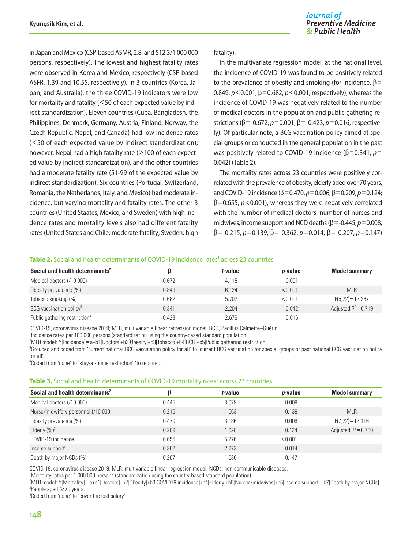in Japan and Mexico (CSP-based ASMR, 2.8, and 512.3/1 000 000 persons, respectively). The lowest and highest fatality rates were observed in Korea and Mexico, respectively (CSP-based ASFR, 1.39 and 10.55, respectively). In 3 countries (Korea, Japan, and Australia), the three COVID-19 indicators were low for mortality and fatality (<50 of each expected value by indirect standardization). Eleven countries (Cuba, Bangladesh, the Philippines, Denmark, Germany, Austria, Finland, Norway, the Czech Republic, Nepal, and Canada) had low incidence rates (<50 of each expected value by indirect standardization); however, Nepal had a high fatality rate (>100 of each expected value by indirect standardization), and the other countries had a moderate fatality rate (51-99 of the expected value by indirect standardization). Six countries (Portugal, Switzerland, Romania, the Netherlands, Italy, and Mexico) had moderate incidence, but varying mortality and fatality rates. The other 3 countries (United Staates, Mexico, and Sweden) with high incidence rates and mortality levels also had different fatality rates (United States and Chile: moderate fatality; Sweden: high

#### fatality).

In the multivariate regression model, at the national level, the incidence of COVID-19 was found to be positively related to the prevalence of obesity and smoking (for incidence,  $\beta$ = 0.849, *p*<0.001; β=0.682, *p*<0.001, respectively), whereas the incidence of COVID-19 was negatively related to the number of medical doctors in the population and public gathering restrictions (β=-0.672, *p*=0.001; β=-0.423, *p*=0.016, respectively). Of particular note, a BCG vaccination policy aimed at special groups or conducted in the general population in the past was positively related to COVID-19 incidence (β=0.341, *p*= 0.042) (Table 2).

The mortality rates across 23 countries were positively correlated with the prevalence of obesity, elderly aged over 70 years, and COVID-19 incidence (β=0.470, *p*=0.006; β=0.209, *p*=0.124;  $\beta$ =0.655,  $p$ <0.001), whereas they were negatively correlated with the number of medical doctors, number of nurses and midwives, income support and NCD deaths (β=-0.445, *p*=0.008; β=-0.215, *p*=0.139; β=-0.362, *p*=0.014; β=-0.207, *p*=0.147)

#### Table 2. Social and health determinants of COVID-19 incidence rates<sup>1</sup> across 23 countries

| Social and health determinants <sup>2</sup> |          | t-value  | <i>p</i> -value | <b>Model summary</b>   |
|---------------------------------------------|----------|----------|-----------------|------------------------|
| Medical doctors (/10 000)                   | $-0.672$ | $-4.115$ | 0.001           |                        |
| Obesity prevalence (%)                      | 0.849    | 6.124    | < 0.001         | <b>MLR</b>             |
| Tobacco smoking (%)                         | 0.682    | 5.702    | < 0.001         | $F(5.22) = 12.267$     |
| BCG vaccination policy <sup>3</sup>         | 0.341    | 2.204    | 0.042           | Adjusted $R^2 = 0.719$ |
| Public gathering restriction <sup>4</sup>   | $-0.423$ | $-2.676$ | 0.016           |                        |

COVID-19, coronavirus disease 2019; MLR, multivariable linear regression model; BCG, Bacillus Calmette–Guérin.

<sup>1</sup>Incidence rates per 100 000 persons (standardization using the country-based standard population).

2 MLR model: Y[Incidence]<sup>=</sup>a+b1[Doctors]+b2[Obesity]+b3[Tobacco]+b4[BCG]+b5[Public gathering restriction]. 3

<sup>3</sup>Grouped and coded from 'current national BCG vaccination policy for all' to 'current BCG vaccination for special groups or past national BCG vaccination policy for all'.

4 Coded from 'none' to 'stay-at-home restriction' 'to required'.

#### Table 3. Social and health determinants of COVID-19 mortality rates<sup>1</sup> across 23 countries

| Social and health determinants <sup>2</sup> |          | t-value  | <i>p</i> -value | <b>Model summary</b>   |
|---------------------------------------------|----------|----------|-----------------|------------------------|
| Medical doctors (/10 000)                   | $-0.445$ | $-3.079$ | 0.008           |                        |
| Nurse/midwifery personnel (/10 000)         | $-0.215$ | $-1.563$ | 0.139           | <b>MLR</b>             |
| Obesity prevalence (%)                      | 0.470    | 3.186    | 0.006           | $F(7,22) = 12.116$     |
| Elderly $(%)^3$                             | 0.209    | 1.628    | 0.124           | Adjusted $R^2 = 0.780$ |
| COVID-19 incidence                          | 0.655    | 5.276    | < 0.001         |                        |
| Income support <sup>4</sup>                 | $-0.362$ | $-2.273$ | 0.014           |                        |
| Death by major NCDs (%)                     | $-0.207$ | $-1.530$ | 0.147           |                        |

COVID-19, coronavirus disease 2019; MLR, multivariable linear regression model; NCDs, non-communicable diseases.

1 Mortality rates per 1 000 000 persons (standardization using the country-based standard population).

2 MLR model: Y[Mortality]=a+b1[Doctors]+b2[Obesity]+b3[COVID19 incidence]+b4[Elderly]+b5[Nurses/midwives]+b6[Income support] +b7[Death by major NCDs]. 3 People aged ≥70 years.

4 Coded from 'none' to 'cover the lost salary'.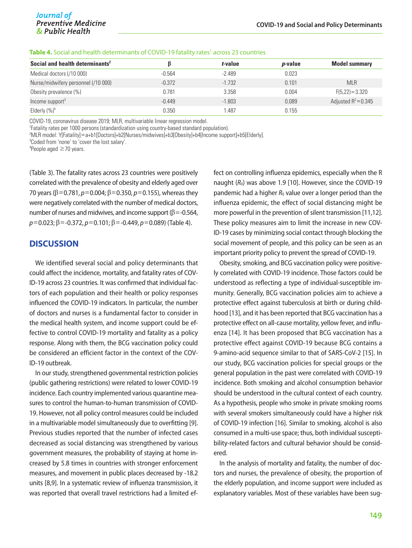|  |  |  | <b>Table 4.</b> Social and health determinants of COVID-19 fatality rates <sup>1</sup> across 23 countries |
|--|--|--|------------------------------------------------------------------------------------------------------------|
|--|--|--|------------------------------------------------------------------------------------------------------------|

| Social and health determinants <sup>2</sup> |          | t-value  | <i>p</i> -value | <b>Model summary</b>   |
|---------------------------------------------|----------|----------|-----------------|------------------------|
| Medical doctors (/10 000)                   | $-0.564$ | $-2.489$ | 0.023           |                        |
| Nurse/midwifery personnel (/10 000)         | $-0.372$ | $-1.732$ | 0.101           | <b>MLR</b>             |
| Obesity prevalence (%)                      | 0.781    | 3.358    | 0.004           | $F(5,22)=3.320$        |
| Income support $3$                          | $-0.449$ | $-1.803$ | 0.089           | Adjusted $R^2 = 0.345$ |
| Elderly $(\%)^4$                            | 0.350    | .487     | 0.155           |                        |

COVID-19, coronavirus disease 2019; MLR, multivariable linear regression model.

1 Fatality rates per 1000 persons (standardization using country-based standard population).

2 MLR model: Y[Fatality]=a+b1[Doctors]+b2[Nurses/midwives]+b3[Obesity]+b4[Income support]+b5[Elderly].

3 Coded from 'none' to 'cover the lost salary'.

4 People aged ≥70 years.

(Table 3). The fatality rates across 23 countries were positively correlated with the prevalence of obesity and elderly aged over 70 years (β=0.781, *p*=0.004; β=0.350, *p*=0.155), whereas they were negatively correlated with the number of medical doctors, number of nurses and midwives, and income support ( $\beta$ =-0.564, *p*=0.023; β=-0.372, *p*=0.101; β=-0.449, *p*=0.089) (Table 4).

#### **DISCUSSION**

We identified several social and policy determinants that could affect the incidence, mortality, and fatality rates of COV-ID-19 across 23 countries. It was confirmed that individual factors of each population and their health or policy responses influenced the COVID-19 indicators. In particular, the number of doctors and nurses is a fundamental factor to consider in the medical health system, and income support could be effective to control COVID-19 mortality and fatality as a policy response. Along with them, the BCG vaccination policy could be considered an efficient factor in the context of the COV-ID-19 outbreak.

In our study, strengthened governmental restriction policies (public gathering restrictions) were related to lower COVID-19 incidence. Each country implemented various quarantine measures to control the human-to-human transmission of COVID-19. However, not all policy control measures could be included in a multivariable model simultaneously due to overfitting [9]. Previous studies reported that the number of infected cases decreased as social distancing was strengthened by various government measures, the probability of staying at home increased by 5.8 times in countries with stronger enforcement measures, and movement in public places decreased by -18.2 units [8,9]. In a systematic review of influenza transmission, it was reported that overall travel restrictions had a limited effect on controlling influenza epidemics, especially when the R naught ( $R_0$ ) was above 1.9 [10]. However, since the COVID-19 pandemic had a higher  $R_0$  value over a longer period than the influenza epidemic, the effect of social distancing might be more powerful in the prevention of silent transmission [11,12]. These policy measures aim to limit the increase in new COV-ID-19 cases by minimizing social contact through blocking the social movement of people, and this policy can be seen as an important priority policy to prevent the spread of COVID-19.

Obesity, smoking, and BCG vaccination policy were positively correlated with COVID-19 incidence. Those factors could be understood as reflecting a type of individual-susceptible immunity. Generally, BCG vaccination policies aim to achieve a protective effect against tuberculosis at birth or during childhood [13], and it has been reported that BCG vaccination has a protective effect on all-cause mortality, yellow fever, and influenza [14]. It has been proposed that BCG vaccination has a protective effect against COVID-19 because BCG contains a 9-amino-acid sequence similar to that of SARS-CoV-2 [15]. In our study, BCG vaccination policies for special groups or the general population in the past were correlated with COVID-19 incidence. Both smoking and alcohol consumption behavior should be understood in the cultural context of each country. As a hypothesis, people who smoke in private smoking rooms with several smokers simultaneously could have a higher risk of COVID-19 infection [16]. Similar to smoking, alcohol is also consumed in a multi-use space; thus, both individual susceptibility-related factors and cultural behavior should be considered.

In the analysis of mortality and fatality, the number of doctors and nurses, the prevalence of obesity, the proportion of the elderly population, and income support were included as explanatory variables. Most of these variables have been sug-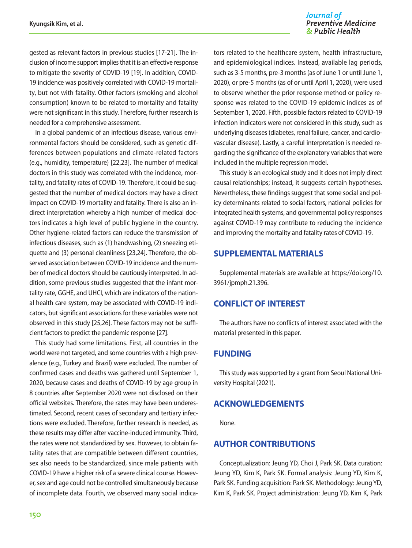#### Journal of **Preventive Medicine** & Public Health

gested as relevant factors in previous studies [17-21]. The inclusion of income support implies that it is an effective response to mitigate the severity of COVID-19 [19]. In addition, COVID-19 incidence was positively correlated with COVID-19 mortality, but not with fatality. Other factors (smoking and alcohol consumption) known to be related to mortality and fatality were not significant in this study. Therefore, further research is needed for a comprehensive assessment.

In a global pandemic of an infectious disease, various environmental factors should be considered, such as genetic differences between populations and climate-related factors (e.g., humidity, temperature) [22,23]. The number of medical doctors in this study was correlated with the incidence, mortality, and fatality rates of COVID-19. Therefore, it could be suggested that the number of medical doctors may have a direct impact on COVID-19 mortality and fatality. There is also an indirect interpretation whereby a high number of medical doctors indicates a high level of public hygiene in the country. Other hygiene-related factors can reduce the transmission of infectious diseases, such as (1) handwashing, (2) sneezing etiquette and (3) personal cleanliness [23,24]. Therefore, the observed association between COVID-19 incidence and the number of medical doctors should be cautiously interpreted. In addition, some previous studies suggested that the infant mortality rate, GGHE, and UHCI, which are indicators of the national health care system, may be associated with COVID-19 indicators, but significant associations for these variables were not observed in this study [25,26]. These factors may not be sufficient factors to predict the pandemic response [27].

This study had some limitations. First, all countries in the world were not targeted, and some countries with a high prevalence (e.g., Turkey and Brazil) were excluded. The number of confirmed cases and deaths was gathered until September 1, 2020, because cases and deaths of COVID-19 by age group in 8 countries after September 2020 were not disclosed on their official websites. Therefore, the rates may have been underestimated. Second, recent cases of secondary and tertiary infections were excluded. Therefore, further research is needed, as these results may differ after vaccine-induced immunity. Third, the rates were not standardized by sex. However, to obtain fatality rates that are compatible between different countries, sex also needs to be standardized, since male patients with COVID-19 have a higher risk of a severe clinical course. However, sex and age could not be controlled simultaneously because of incomplete data. Fourth, we observed many social indicators related to the healthcare system, health infrastructure, and epidemiological indices. Instead, available lag periods, such as 3-5 months, pre-3 months (as of June 1 or until June 1, 2020), or pre-5 months (as of or until April 1, 2020), were used to observe whether the prior response method or policy response was related to the COVID-19 epidemic indices as of September 1, 2020. Fifth, possible factors related to COVID-19 infection indicators were not considered in this study, such as underlying diseases (diabetes, renal failure, cancer, and cardiovascular disease). Lastly, a careful interpretation is needed regarding the significance of the explanatory variables that were included in the multiple regression model.

This study is an ecological study and it does not imply direct causal relationships; instead, it suggests certain hypotheses. Nevertheless, these findings suggest that some social and policy determinants related to social factors, national policies for integrated health systems, and governmental policy responses against COVID-19 may contribute to reducing the incidence and improving the mortality and fatality rates of COVID-19.

## **SUPPLEMENTAL MATERIALS**

Supplemental materials are available at [https://doi.org/10.](https://doi.org/10.3961/jpmph.21.396) [3961/jpmph.21.396](https://doi.org/10.3961/jpmph.21.396).

## **CONFLICT OF INTEREST**

The authors have no conflicts of interest associated with the material presented in this paper.

## **FUNDING**

This study was supported by a grant from Seoul National University Hospital (2021).

## **ACKNOWLEDGEMENTS**

None.

## **AUTHOR CONTRIBUTIONS**

Conceptualization: Jeung YD, Choi J, Park SK. Data curation: Jeung YD, Kim K, Park SK. Formal analysis: Jeung YD, Kim K, Park SK. Funding acquisition: Park SK. Methodology: Jeung YD, Kim K, Park SK. Project administration: Jeung YD, Kim K, Park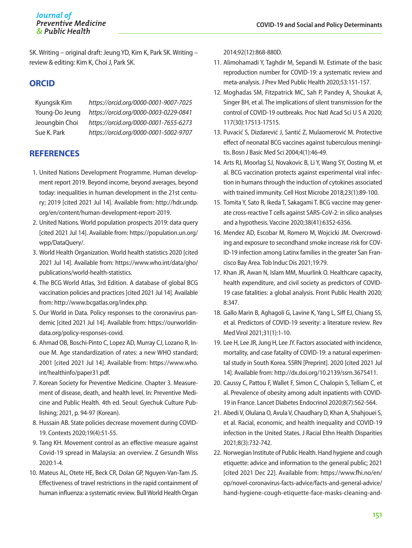SK. Writing – original draft: Jeung YD, Kim K, Park SK. Writing – review & editing: Kim K, Choi J, Park SK.

## **ORCID**

Kyungsik Kim *https://orcid.org/0000-0001-9007-7025* Young-Do Jeung *https://orcid.org/0000-0003-0229-0841* Jeoungbin Choi *https://orcid.org/0000-0001-7655-6273* Sue K. Park *https://orcid.org/0000-0001-5002-9707*

## **REFERENCES**

- 1. United Nations Development Programme. Human development report 2019. Beyond income, beyond averages, beyond today: inequalities in human development in the 21st century; 2019 [cited 2021 Jul 14]. Available from: [http://hdr.undp.](http://hdr.undp.org/en/content/human-development-report-2019) [org/en/content/human-development-report-2019.](http://hdr.undp.org/en/content/human-development-report-2019)
- 2. United Nations. World population prospects 2019: data query [cited 2021 Jul 14]. Available from: [https://population.un.org/](https://population.un.org/wpp/DataQuery/) [wpp/DataQuery/](https://population.un.org/wpp/DataQuery/).
- 3. World Health Organization. World health statistics 2020 [cited 2021 Jul 14]. Available from: [https://www.who.int/data/gho/](https://www.who.int/data/gho/publications/world-health-statistics) [publications/world-health-statistics](https://www.who.int/data/gho/publications/world-health-statistics).
- 4. The BCG World Atlas, 3rd Edition. A database of global BCG vaccination policies and practices [cited 2021 Jul 14]. Available from:<http://www.bcgatlas.org/index.php>.
- 5. Our World in Data. Policy responses to the coronavirus pandemic [cited 2021 Jul 14]. Available from: [https://ourworldin](https://ourworldindata.org/policy-responses-covid)[data.org/policy-responses-covid](https://ourworldindata.org/policy-responses-covid).
- 6. Ahmad OB, Boschi-Pinto C, Lopez AD, Murray CJ, Lozano R, Inoue M. Age standardization of rates: a new WHO standard; 2001 [cited 2021 Jul 14]. Available from: [https://www.who.](https://www.who.int/healthinfo/paper31.pdf) [int/healthinfo/paper31.pdf](https://www.who.int/healthinfo/paper31.pdf).
- 7. Korean Society for Preventive Medicine. Chapter 3. Measurement of disease, death, and health level. In: Preventive Medicine and Public Health. 4th ed. Seoul: Gyechuk Culture Publishing; 2021, p. 94-97 (Korean).
- 8. Hussain AB. State policies decrease movement during COVID-19. Contexts 2020;19(4):51-55.
- 9. Tang KH. Movement control as an effective measure against Covid-19 spread in Malaysia: an overview. Z Gesundh Wiss 2020:1-4.
- 10. Mateus AL, Otete HE, Beck CR, Dolan GP, Nguyen-Van-Tam JS. Effectiveness of travel restrictions in the rapid containment of human influenza: a systematic review. Bull World Health Organ

2014;92(12):868-880D.

- 11. Alimohamadi Y, Taghdir M, Sepandi M. Estimate of the basic reproduction number for COVID-19: a systematic review and meta-analysis. J Prev Med Public Health 2020;53:151-157.
- 12. Moghadas SM, Fitzpatrick MC, Sah P, Pandey A, Shoukat A, Singer BH, et al. The implications of silent transmission for the control of COVID-19 outbreaks. Proc Natl Acad Sci U S A 2020; 117(30):17513-17515.
- 13. Puvacić S, Dizdarević J, Santić Z, Mulaomerović M. Protective effect of neonatal BCG vaccines against tuberculous meningitis. Bosn J Basic Med Sci 2004;4(1):46-49.
- 14. Arts RJ, Moorlag SJ, Novakovic B, Li Y, Wang SY, Oosting M, et al. BCG vaccination protects against experimental viral infection in humans through the induction of cytokines associated with trained immunity. Cell Host Microbe 2018;23(1):89-100.
- 15. Tomita Y, Sato R, Ikeda T, Sakagami T. BCG vaccine may generate cross-reactive T cells against SARS-CoV-2: in silico analyses and a hypothesis. Vaccine 2020;38(41):6352-6356.
- 16. Mendez AD, Escobar M, Romero M, Wojcicki JM. Overcrowding and exposure to secondhand smoke increase risk for COV-ID-19 infection among Latinx families in the greater San Francisco Bay Area. Tob Induc Dis 2021;19:79.
- 17. Khan JR, Awan N, Islam MM, Muurlink O. Healthcare capacity, health expenditure, and civil society as predictors of COVID-19 case fatalities: a global analysis. Front Public Health 2020; 8:347.
- 18. Gallo Marin B, Aghagoli G, Lavine K, Yang L, Siff EJ, Chiang SS, et al. Predictors of COVID-19 severity: a literature review. Rev Med Virol 2021;31(1):1-10.
- 19. Lee H, Lee JR, Jung H, Lee JY. Factors associated with incidence, mortality, and case fatality of COVID-19: a natural experimental study in South Korea. SSRN [Preprint]. 2020 [cited 2021 Jul 14]. Available from: <http://dx.doi.org/10.2139/ssrn.3675411>.
- 20. Caussy C, Pattou F, Wallet F, Simon C, Chalopin S, Telliam C, et al. Prevalence of obesity among adult inpatients with COVID-19 in France. Lancet Diabetes Endocrinol 2020;8(7):562-564.
- 21. Abedi V, Olulana O, Avula V, Chaudhary D, Khan A, Shahjouei S, et al. Racial, economic, and health inequality and COVID-19 infection in the United States. J Racial Ethn Health Disparities 2021;8(3):732-742.
- 22. Norwegian Institute of Public Health. Hand hygiene and cough etiquette: advice and information to the general public; 2021 [cited 2021 Dec 22]. Available from: [https://www.fhi.no/en/](https://www.fhi.no/en/op/novel-coronavirus-facts-advice/facts-and-general-advice/hand-hygiene-cough-etiquette-face-masks-cleaning-and-laundry/) [op/novel-coronavirus-facts-advice/facts-and-general-advice/](https://www.fhi.no/en/op/novel-coronavirus-facts-advice/facts-and-general-advice/hand-hygiene-cough-etiquette-face-masks-cleaning-and-laundry/) [hand-hygiene-cough-etiquette-face-masks-cleaning-and-](https://www.fhi.no/en/op/novel-coronavirus-facts-advice/facts-and-general-advice/hand-hygiene-cough-etiquette-face-masks-cleaning-and-laundry/)